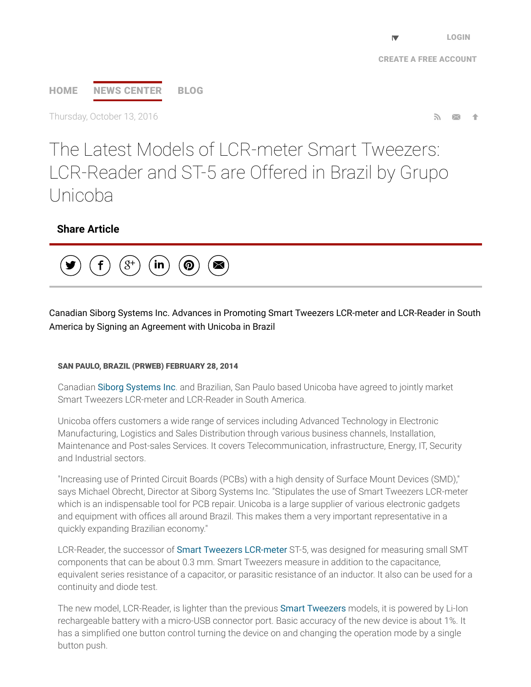# [HOME](http://www.prweb.com/) NEWS [CENTER](http://www.prweb.com/recentnews/) [BLOG](http://www.cision.com/us/blog/)

Thursday, October 13, 2016  $\blacksquare$ 

The Latest Models of LCR-meter Smart Tweezers: LCR-Reader and ST-5 are Offered in Brazil by Grupo Unicoba

# Share Article



Canadian Siborg Systems Inc. Advances in Promoting Smart Tweezers LCR-meter and LCR-Reader in South America by Signing an Agreement with Unicoba in Brazil

## SAN PAULO, BRAZIL (PRWEB) FEBRUARY 28, 2014

Canadian Siborg [Systems](http://www.prweb.net/Redirect.aspx?id=aHR0cDovL3d3dy5zaWJvcmcuY29tL3NtYXJ0dHdlZXplcnM=) Inc. and Brazilian, San Paulo based Unicoba have agreed to jointly market Smart Tweezers LCR-meter and LCR-Reader in South America

Unicoba offers customers a wide range of services including Advanced Technology in Electronic Manufacturing, Logistics and Sales Distribution through various business channels, Installation, Maintenance and Post-sales Services. It covers Telecommunication, infrastructure, Energy, IT, Security and Industrial sectors.

"Increasing use of Printed Circuit Boards (PCBs) with a high density of Surface Mount Devices (SMD)," says Michael Obrecht, Director at Siborg Systems Inc. "Stipulates the use of Smart Tweezers LCR-meter which is an indispensable tool for PCB repair. Unicoba is a large supplier of various electronic gadgets and equipment with offices all around Brazil. This makes them a very important representative in a quickly expanding Brazilian economy."

LCR-Reader, the successor of **Smart Tweezers [LCR-meter](http://www.prweb.net/Redirect.aspx?id=aHR0cDovL3d3dy5zbWFydHR3ZWV6ZXJzLmNh)** ST-5, was designed for measuring small SMT components that can be about 0.3 mm. Smart Tweezers measure in addition to the capacitance, equivalent series resistance of a capacitor, or parasitic resistance of an inductor. It also can be used for a continuity and diode test.

The new model, LCR-Reader, is lighter than the previous Smart [Tweezers](http://www.prweb.net/Redirect.aspx?id=aHR0cDovL3d3dy5sY3ItcmVhZGVyLmNvbQ==) models, it is powered by Li-Ion rechargeable battery with a micro-USB connector port. Basic accuracy of the new device is about 1%. It has a simplified one button control turning the device on and changing the operation mode by a single button push.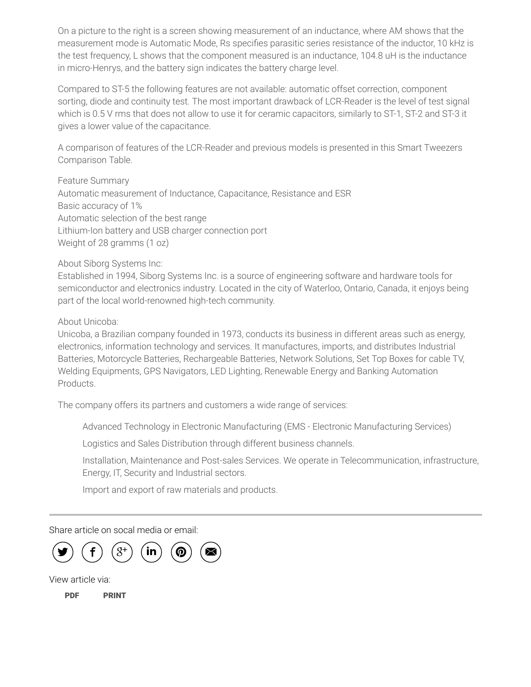On a picture to the right is a screen showing measurement of an inductance, where AM shows that the measurement mode is Automatic Mode, Rs specifies parasitic series resistance of the inductor, 10 kHz is the test frequency, L shows that the component measured is an inductance, 104.8 uH is the inductance in micro-Henrys, and the battery sign indicates the battery charge level.

Compared to ST-5 the following features are not available: automatic offset correction, component sorting, diode and continuity test. The most important drawback of LCR-Reader is the level of test signal which is 0.5 V rms that does not allow to use it for ceramic capacitors, similarly to ST-1, ST-2 and ST-3 it gives a lower value of the capacitance.

A comparison of features of the LCR-Reader and previous models is presented in this Smart Tweezers Comparison Table.

Feature Summary Automatic measurement of Inductance, Capacitance, Resistance and ESR Basic accuracy of 1% Automatic selection of the best range Lithium-Ion battery and USB charger connection port Weight of 28 gramms (1 oz)

About Siborg Systems Inc:

Established in 1994, Siborg Systems Inc. is a source of engineering software and hardware tools for semiconductor and electronics industry. Located in the city of Waterloo, Ontario, Canada, it enjoys being part of the local world-renowned high-tech community.

About Unicoba:

Unicoba, a Brazilian company founded in 1973, conducts its business in different areas such as energy, electronics, information technology and services. It manufactures, imports, and distributes Industrial Batteries, Motorcycle Batteries, Rechargeable Batteries, Network Solutions, Set Top Boxes for cable TV, Welding Equipments, GPS Navigators, LED Lighting, Renewable Energy and Banking Automation Products.

The company offers its partners and customers a wide range of services:

Advanced Technology in Electronic Manufacturing (EMS - Electronic Manufacturing Services)

Logistics and Sales Distribution through different business channels.

Installation, Maintenance and Post-sales Services. We operate in Telecommunication, infrastructure, Energy, IT, Security and Industrial sectors.

Import and export of raw materials and products.

Share article on socal media or email:



View article via:

[PDF](http://www.prweb.com/pdfdownload/11544945.pdf) [PRINT](http://www.prweb.com/printer/11544945.htm)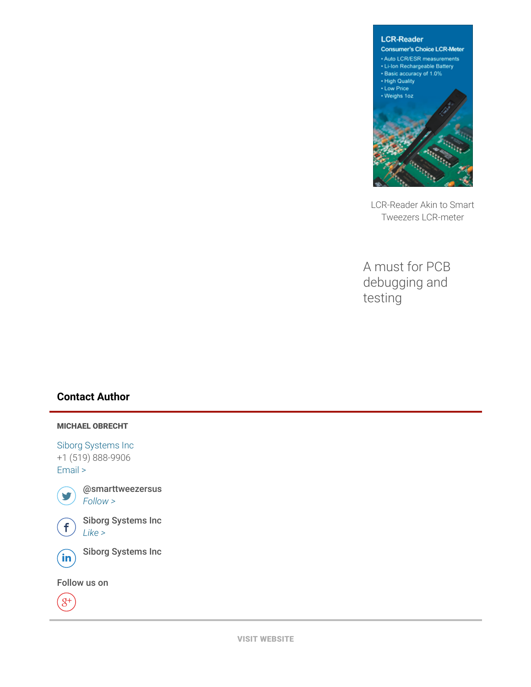

LCR-Reader Akin to Smart Tweezers LCR-meter

A must for PCB debugging and testing

## Contact Author

#### MICHAEL OBRECHT

Siborg [Systems](http://www.prweb.net/Redirect.aspx?id=aHR0cDovL3d3dy5zaWJvcmcuY29t) Inc +1 (519) 888-9906 [Email](http://www.prweb.com/EmailContact.aspx?prid=11544945) >



@smarttweezersus  $\sum$  [Follow](https://twitter.com/intent/user?screen_name=smarttweezersus&variant=2.0) >



 $\bigoplus$  Siborg Systems Inc



**in**) Siborg Systems Inc

Follow us on

 $\overline{g^+}$